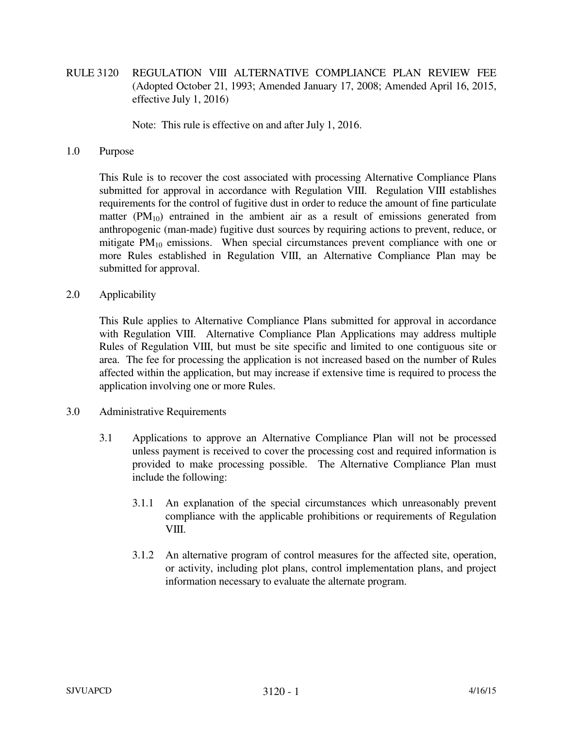RULE 3120 REGULATION VIII ALTERNATIVE COMPLIANCE PLAN REVIEW FEE (Adopted October 21, 1993; Amended January 17, 2008; Amended April 16, 2015, effective July 1, 2016)

Note: This rule is effective on and after July 1, 2016.

## 1.0 Purpose

 This Rule is to recover the cost associated with processing Alternative Compliance Plans submitted for approval in accordance with Regulation VIII. Regulation VIII establishes requirements for the control of fugitive dust in order to reduce the amount of fine particulate matter  $(PM_{10})$  entrained in the ambient air as a result of emissions generated from anthropogenic (man-made) fugitive dust sources by requiring actions to prevent, reduce, or mitigate  $PM_{10}$  emissions. When special circumstances prevent compliance with one or more Rules established in Regulation VIII, an Alternative Compliance Plan may be submitted for approval.

## 2.0 Applicability

 This Rule applies to Alternative Compliance Plans submitted for approval in accordance with Regulation VIII. Alternative Compliance Plan Applications may address multiple Rules of Regulation VIII, but must be site specific and limited to one contiguous site or area. The fee for processing the application is not increased based on the number of Rules affected within the application, but may increase if extensive time is required to process the application involving one or more Rules.

## 3.0 Administrative Requirements

- 3.1 Applications to approve an Alternative Compliance Plan will not be processed unless payment is received to cover the processing cost and required information is provided to make processing possible. The Alternative Compliance Plan must include the following:
	- 3.1.1 An explanation of the special circumstances which unreasonably prevent compliance with the applicable prohibitions or requirements of Regulation VIII.
	- 3.1.2 An alternative program of control measures for the affected site, operation, or activity, including plot plans, control implementation plans, and project information necessary to evaluate the alternate program.